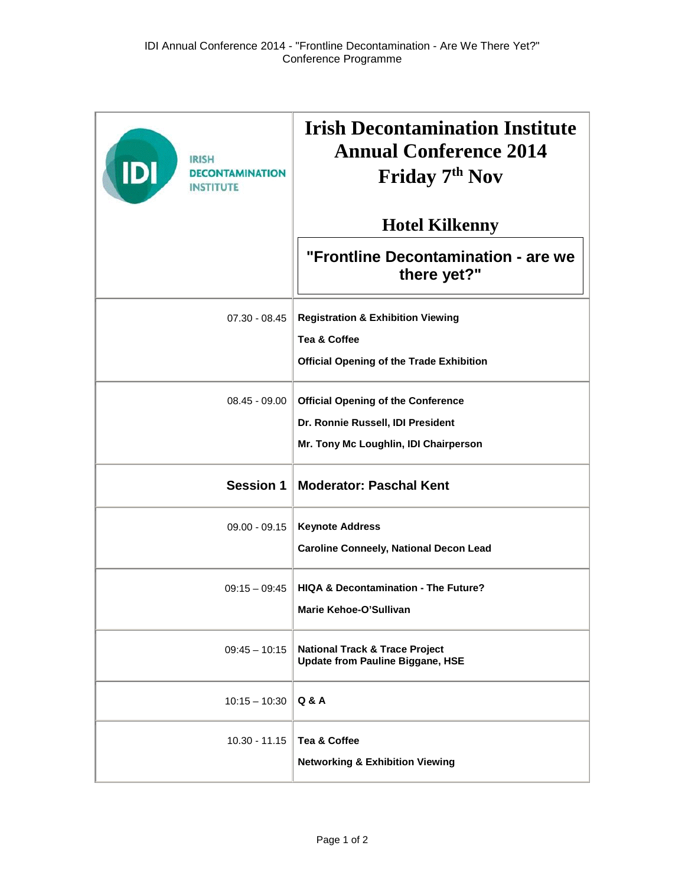| <b>IRISH</b><br><b>IDI</b><br><b><i>DECONTAMINATION</i></b><br><b>INSTITUTE</b> | <b>Irish Decontamination Institute</b><br><b>Annual Conference 2014</b><br>Friday 7 <sup>th</sup> Nov |
|---------------------------------------------------------------------------------|-------------------------------------------------------------------------------------------------------|
|                                                                                 | <b>Hotel Kilkenny</b>                                                                                 |
|                                                                                 | "Frontline Decontamination - are we<br>there yet?"                                                    |
| 07.30 - 08.45                                                                   | <b>Registration &amp; Exhibition Viewing</b>                                                          |
|                                                                                 | Tea & Coffee                                                                                          |
|                                                                                 | <b>Official Opening of the Trade Exhibition</b>                                                       |
| $08.45 - 09.00$                                                                 | <b>Official Opening of the Conference</b>                                                             |
|                                                                                 | Dr. Ronnie Russell, IDI President                                                                     |
|                                                                                 | Mr. Tony Mc Loughlin, IDI Chairperson                                                                 |
| <b>Session 1</b>                                                                | <b>Moderator: Paschal Kent</b>                                                                        |
| $09.00 - 09.15$                                                                 | <b>Keynote Address</b>                                                                                |
|                                                                                 | <b>Caroline Conneely, National Decon Lead</b>                                                         |
| $09:15 - 09:45$                                                                 | <b>HIQA &amp; Decontamination - The Future?</b>                                                       |
|                                                                                 | Marie Kehoe-O'Sullivan                                                                                |
| $09:45 - 10:15$                                                                 | <b>National Track &amp; Trace Project</b><br><b>Update from Pauline Biggane, HSE</b>                  |
| $10:15 - 10:30$                                                                 | Q & A                                                                                                 |
| $10.30 - 11.15$                                                                 | Tea & Coffee                                                                                          |
|                                                                                 | <b>Networking &amp; Exhibition Viewing</b>                                                            |